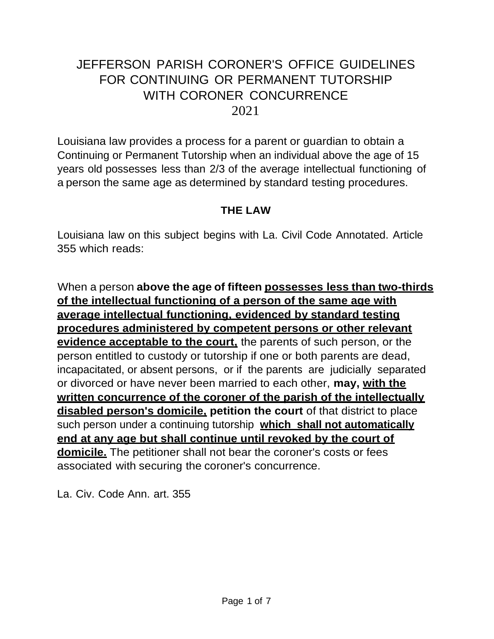# JEFFERSON PARISH CORONER'S OFFICE GUIDELINES FOR CONTINUING OR PERMANENT TUTORSHIP WITH CORONER CONCURRENCE 2021

Louisiana law provides a process for a parent or guardian to obtain a Continuing or Permanent Tutorship when an individual above the age of 15 years old possesses less than 2/3 of the average intellectual functioning of a person the same age as determined by standard testing procedures.

#### **THE LAW**

Louisiana law on this subject begins with La. Civil Code Annotated. Article 355 which reads:

When a person **above the age of fifteen possesses less than two-thirds of the intellectual functioning of a person of the same age with average intellectual functioning, evidenced by standard testing procedures administered by competent persons or other relevant evidence acceptable to the court,** the parents of such person, or the person entitled to custody or tutorship if one or both parents are dead, incapacitated, or absent persons, or if the parents are judicially separated or divorced or have never been married to each other, **may, with the written concurrence of the coroner of the parish of the intellectually disabled person's domicile, petition the court** of that district to place such person under a continuing tutorship **which shall not automatically end at any age but shall continue until revoked by the court of domicile.** The petitioner shall not bear the coroner's costs or fees associated with securing the coroner's concurrence.

La. Civ. Code Ann. art. 355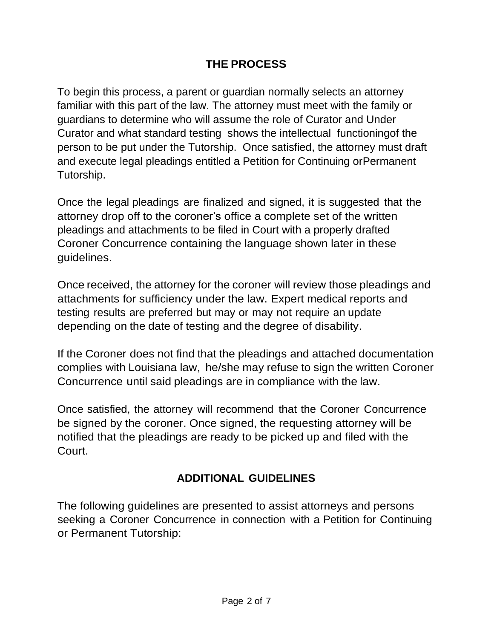# **THE PROCESS**

To begin this process, a parent or guardian normally selects an attorney familiar with this part of the law. The attorney must meet with the family or guardians to determine who will assume the role of Curator and Under Curator and what standard testing shows the intellectual functioningof the person to be put under the Tutorship. Once satisfied, the attorney must draft and execute legal pleadings entitled a Petition for Continuing orPermanent Tutorship.

Once the legal pleadings are finalized and signed, it is suggested that the attorney drop off to the coroner's office a complete set of the written pleadings and attachments to be filed in Court with a properly drafted Coroner Concurrence containing the language shown later in these guidelines.

Once received, the attorney for the coroner will review those pleadings and attachments for sufficiency under the law. Expert medical reports and testing results are preferred but may or may not require an update depending on the date of testing and the degree of disability.

If the Coroner does not find that the pleadings and attached documentation complies with Louisiana law, he/she may refuse to sign the written Coroner Concurrence until said pleadings are in compliance with the law.

Once satisfied, the attorney will recommend that the Coroner Concurrence be signed by the coroner. Once signed, the requesting attorney will be notified that the pleadings are ready to be picked up and filed with the Court.

# **ADDITIONAL GUIDELINES**

The following guidelines are presented to assist attorneys and persons seeking a Coroner Concurrence in connection with a Petition for Continuing or Permanent Tutorship: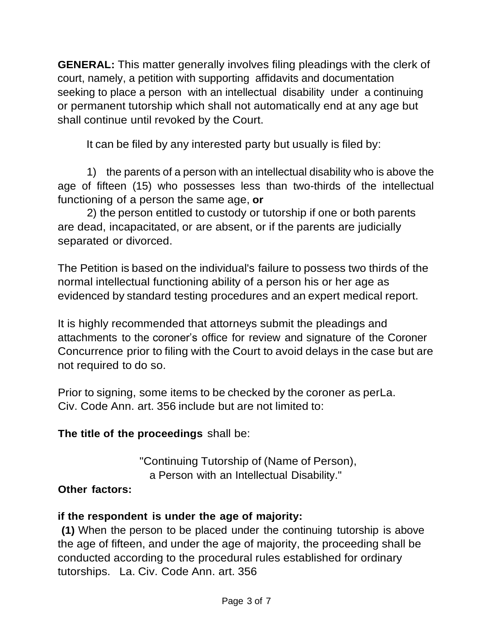**GENERAL:** This matter generally involves filing pleadings with the clerk of court, namely, a petition with supporting affidavits and documentation seeking to place a person with an intellectual disability under a continuing or permanent tutorship which shall not automatically end at any age but shall continue until revoked by the Court.

It can be filed by any interested party but usually is filed by:

1) the parents of a person with an intellectual disability who is above the age of fifteen (15) who possesses less than two-thirds of the intellectual functioning of a person the same age, **or**

2) the person entitled to custody or tutorship if one or both parents are dead, incapacitated, or are absent, or if the parents are judicially separated or divorced.

The Petition is based on the individual's failure to possess two thirds of the normal intellectual functioning ability of a person his or her age as evidenced by standard testing procedures and an expert medical report.

It is highly recommended that attorneys submit the pleadings and attachments to the coroner's office for review and signature of the Coroner Concurrence prior to filing with the Court to avoid delays in the case but are not required to do so.

Prior to signing, some items to be checked by the coroner as perLa. Civ. Code Ann. art. 356 include but are not limited to:

# **The title of the proceedings** shall be:

"Continuing Tutorship of (Name of Person), a Person with an Intellectual Disability."

# **Other factors:**

# **if the respondent is under the age of majority:**

**(1)** When the person to be placed under the continuing tutorship is above the age of fifteen, and under the age of majority, the proceeding shall be conducted according to the procedural rules established for ordinary tutorships. La. Civ. Code Ann. art. 356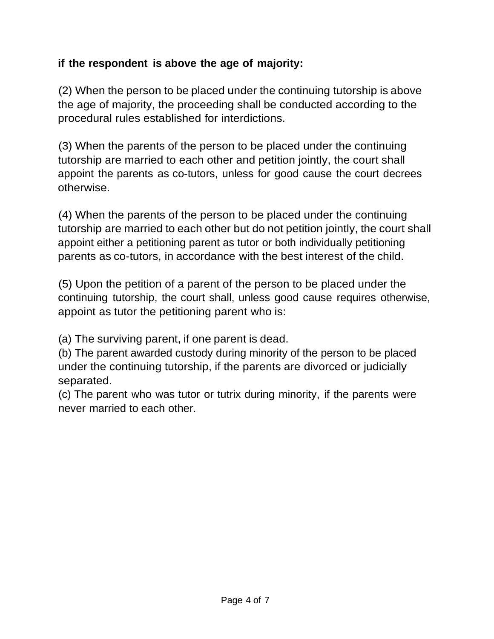# **if the respondent is above the age of majority:**

(2) When the person to be placed under the continuing tutorship is above the age of majority, the proceeding shall be conducted according to the procedural rules established for interdictions.

(3) When the parents of the person to be placed under the continuing tutorship are married to each other and petition jointly, the court shall appoint the parents as co-tutors, unless for good cause the court decrees otherwise.

(4) When the parents of the person to be placed under the continuing tutorship are married to each other but do not petition jointly, the court shall appoint either a petitioning parent as tutor or both individually petitioning parents as co-tutors, in accordance with the best interest of the child.

(5) Upon the petition of a parent of the person to be placed under the continuing tutorship, the court shall, unless good cause requires otherwise, appoint as tutor the petitioning parent who is:

(a) The surviving parent, if one parent is dead.

(b) The parent awarded custody during minority of the person to be placed under the continuing tutorship, if the parents are divorced or judicially separated.

(c) The parent who was tutor or tutrix during minority, if the parents were never married to each other.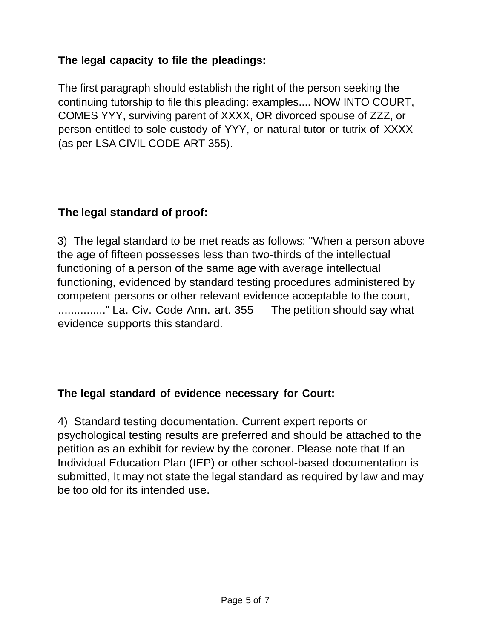# **The legal capacity to file the pleadings:**

The first paragraph should establish the right of the person seeking the continuing tutorship to file this pleading: examples.... NOW INTO COURT, COMES YYY, surviving parent of XXXX, OR divorced spouse of ZZZ, or person entitled to sole custody of YYY, or natural tutor or tutrix of XXXX (as per LSA CIVIL CODE ART 355).

#### **The legal standard of proof:**

3) The legal standard to be met reads as follows: "When a person above the age of fifteen possesses less than two-thirds of the intellectual functioning of a person of the same age with average intellectual functioning, evidenced by standard testing procedures administered by competent persons or other relevant evidence acceptable to the court, ..............." La. Civ. Code Ann. art. 355 The petition should say what evidence supports this standard.

#### **The legal standard of evidence necessary for Court:**

4) Standard testing documentation. Current expert reports or psychological testing results are preferred and should be attached to the petition as an exhibit for review by the coroner. Please note that If an Individual Education Plan (IEP) or other school-based documentation is submitted, It may not state the legal standard as required by law and may be too old for its intended use.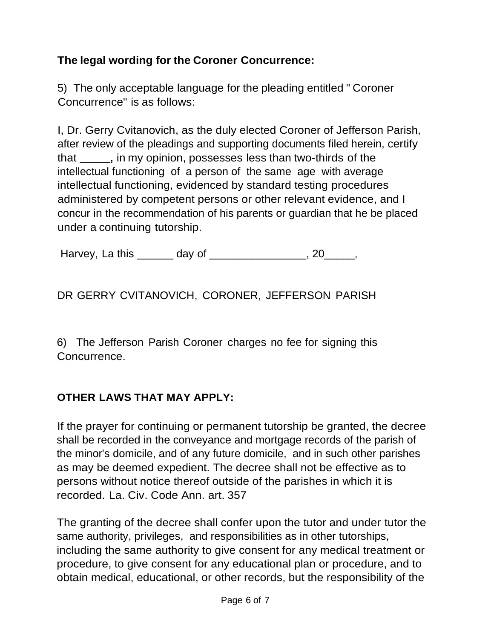# **The legal wording for the Coroner Concurrence:**

5) The only acceptable language for the pleading entitled " Coroner Concurrence" is as follows:

I, Dr. Gerry Cvitanovich, as the duly elected Coroner of Jefferson Parish, after review of the pleadings and supporting documents filed herein, certify that **\_\_\_\_\_,** in my opinion, possesses less than two-thirds of the intellectual functioning of a person of the same age with average intellectual functioning, evidenced by standard testing procedures administered by competent persons or other relevant evidence, and I concur in the recommendation of his parents or guardian that he be placed under a continuing tutorship.

Harvey, La this day of the control of the control of the control of the control of the control of the control o

DR GERRY CVITANOVICH, CORONER, JEFFERSON PARISH

6) The Jefferson Parish Coroner charges no fee for signing this Concurrence.

# **OTHER LAWS THAT MAY APPLY:**

If the prayer for continuing or permanent tutorship be granted, the decree shall be recorded in the conveyance and mortgage records of the parish of the minor's domicile, and of any future domicile, and in such other parishes as may be deemed expedient. The decree shall not be effective as to persons without notice thereof outside of the parishes in which it is recorded. La. Civ. Code Ann. art. 357

The granting of the decree shall confer upon the tutor and under tutor the same authority, privileges, and responsibilities as in other tutorships, including the same authority to give consent for any medical treatment or procedure, to give consent for any educational plan or procedure, and to obtain medical, educational, or other records, but the responsibility of the